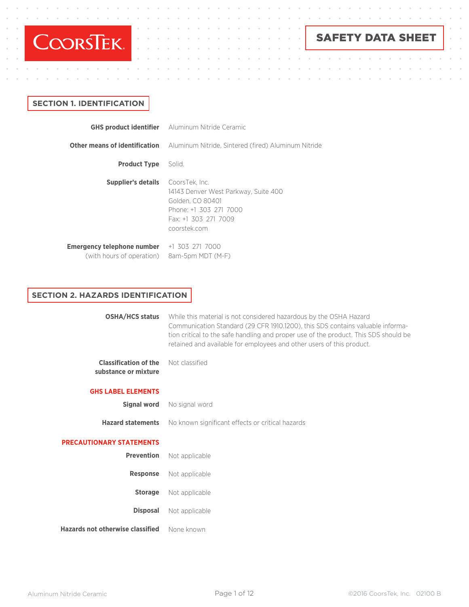

 $\alpha$  $\alpha$ 

 $\alpha$  $\alpha$ 

# SAFETY DATA SHEET

 $\bar{\rm o}$  $\ddot{\phantom{a}}$ 

 $\bar{a}$ 

 $\bar{\theta}$ 

## **SECTION 1. IDENTIFICATION**

 $\alpha$ 

 $\alpha$ 

|                                                         | <b>GHS product identifier</b> Aluminum Nitride Ceramic                                                                     |
|---------------------------------------------------------|----------------------------------------------------------------------------------------------------------------------------|
|                                                         | <b>Other means of identification</b> Aluminum Nitride, Sintered (fired) Aluminum Nitride                                   |
| <b>Product Type</b> Solid.                              |                                                                                                                            |
| <b>Supplier's details</b> CoorsTek, Inc.                | 14143 Denver West Parkway, Suite 400<br>Golden, CO 80401<br>Phone: +1 303 271 7000<br>Fax: +1 303 271 7009<br>coorstek.com |
| Emergency telephone number<br>(with hours of operation) | +1 303 271 7000<br>8am-5pm MDT (M-F)                                                                                       |

## **SECTION 2. HAZARDS IDENTIFICATION**

| <b>OSHA/HCS status</b>                               | While this material is not considered hazardous by the OSHA Hazard<br>Communication Standard (29 CFR 1910.1200), this SDS contains valuable informa-<br>tion critical to the safe handling and proper use of the product. This SDS should be<br>retained and available for employees and other users of this product. |
|------------------------------------------------------|-----------------------------------------------------------------------------------------------------------------------------------------------------------------------------------------------------------------------------------------------------------------------------------------------------------------------|
| <b>Classification of the</b><br>substance or mixture | Not classified                                                                                                                                                                                                                                                                                                        |
| <b>GHS LABEL ELEMENTS</b>                            |                                                                                                                                                                                                                                                                                                                       |
| <b>Signal word</b>                                   | No signal word                                                                                                                                                                                                                                                                                                        |
| <b>Hazard statements</b>                             | No known significant effects or critical hazards                                                                                                                                                                                                                                                                      |
| <b>PRECAUTIONARY STATEMENTS</b>                      |                                                                                                                                                                                                                                                                                                                       |
| <b>Prevention</b>                                    | Not applicable                                                                                                                                                                                                                                                                                                        |
| <b>Response</b>                                      | Not applicable                                                                                                                                                                                                                                                                                                        |
| <b>Storage</b>                                       | Not applicable                                                                                                                                                                                                                                                                                                        |
| <b>Disposal</b>                                      | Not applicable                                                                                                                                                                                                                                                                                                        |
| Hazards not otherwise classified                     | None known                                                                                                                                                                                                                                                                                                            |
|                                                      |                                                                                                                                                                                                                                                                                                                       |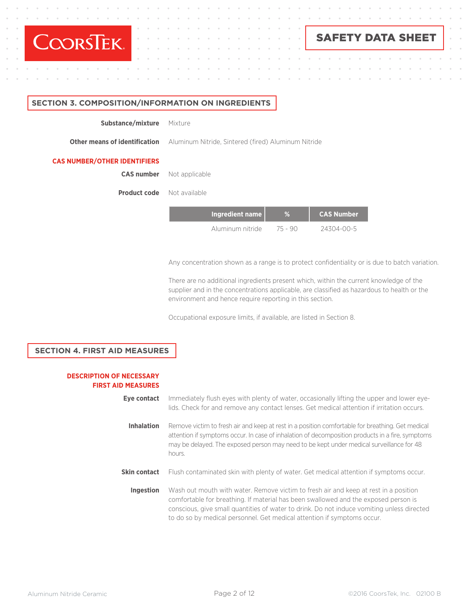

 $\alpha$  $\alpha$  $\alpha$  $\sim$  $\bar{a}$ 

 $\mathbf{a}$  , and  $\mathbf{a}$  , and  $\mathbf{a}$  , and  $\mathbf{a}$  , and  $\mathbf{a}$  , and  $\mathbf{a}$ 

# SAFETY DATA SHEET

#### **SECTION 3. COMPOSITION/INFORMATION ON INGREDIENTS**

Mixture **Substance/mixture**

**Other means of identification**

Aluminum Nitride, Sintered (fired) Aluminum Nitride

#### **CAS NUMBER/OTHER IDENTIFIERS**

Not applicable **CAS number**

Not available **Product code**

| Ingredient name  |         | <b>CAS Number</b> |
|------------------|---------|-------------------|
| Aluminum nitride | 75 - 90 | 24304-00-5        |

Any concentration shown as a range is to protect confidentiality or is due to batch variation.

and a state

 $\mathcal{L}$ 

There are no additional ingredients present which, within the current knowledge of the supplier and in the concentrations applicable, are classified as hazardous to health or the environment and hence require reporting in this section.

Occupational exposure limits, if available, are listed in Section 8.

#### **SECTION 4. FIRST AID MEASURES**

#### **DESCRIPTION OF NECESSARY FIRST AID MEASURES**

| Eve contact         | Immediately flush eyes with plenty of water, occasionally lifting the upper and lower eye-<br>lids. Check for and remove any contact lenses. Get medical attention if irritation occurs.                                                                                                                                                             |
|---------------------|------------------------------------------------------------------------------------------------------------------------------------------------------------------------------------------------------------------------------------------------------------------------------------------------------------------------------------------------------|
| <b>Inhalation</b>   | Remove victim to fresh air and keep at rest in a position comfortable for breathing. Get medical<br>attention if symptoms occur. In case of inhalation of decomposition products in a fire, symptoms<br>may be delayed. The exposed person may need to be kept under medical surveillance for 48<br>hours.                                           |
| <b>Skin contact</b> | Flush contaminated skin with plenty of water. Get medical attention if symptoms occur.                                                                                                                                                                                                                                                               |
| Ingestion           | Wash out mouth with water. Remove victim to fresh air and keep at rest in a position<br>comfortable for breathing. If material has been swallowed and the exposed person is<br>conscious, give small quantities of water to drink. Do not induce vomiting unless directed<br>to do so by medical personnel. Get medical attention if symptoms occur. |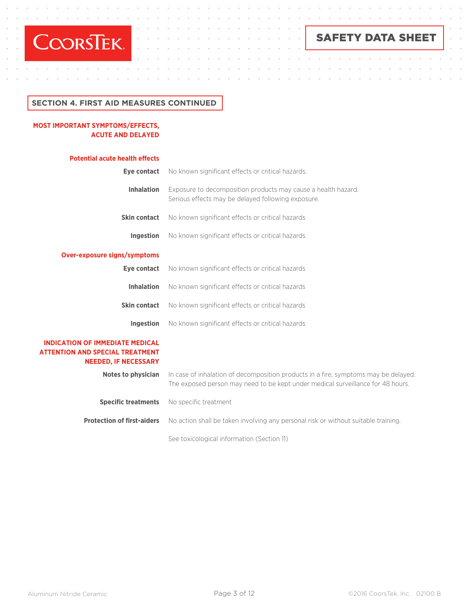

 $\alpha = -\alpha = -\alpha$  .

 $\alpha$ 

 $\alpha$ 

 $\alpha = -\alpha$  .

 $\ddot{\phantom{a}}$  $\bar{\alpha}$  $\alpha$  $\alpha$  $\ddot{\phantom{a}}$  $\mathbf{r}$  SAFETY DATA SHEET

 $\bar{\alpha}$ 

 $\lambda$ 

 $\sim$ 

 $\sim$  $\alpha$  $\alpha$  $\alpha$  $\bar{a}$  $\bar{\alpha}$  $\alpha$ 

 $\alpha$ 

 $\mathbb{R}^2$ 

 $\bar{\phantom{a}}$ 

 $\bar{\rm o}$  $\bar{\theta}$  $\bar{0}$  $\alpha$ 

 $\bar{0}$ 

 $\bar{\rm o}$ 

 $\ddot{\phantom{a}}$ 

 $\alpha$ 

 $\ddot{\phantom{a}}$ 

 $\alpha$ 

 $\alpha$ 

## **SECTION 4. FIRST AID MEASURES CONTINUED**

 $\sim$ 

 $\alpha$  $\alpha$  $\ddot{\phantom{a}}$ 

### **MOST IMPORTANT SYMPTOMS/EFFECTS, ACUTE AND DELAYED**

 $\alpha$ 

| <b>Potential acute health effects</b>                                                                           |                                                                                                                                                                        |
|-----------------------------------------------------------------------------------------------------------------|------------------------------------------------------------------------------------------------------------------------------------------------------------------------|
| Eye contact                                                                                                     | No known significant effects or critical hazards.                                                                                                                      |
| <b>Inhalation</b>                                                                                               | Exposure to decomposition products may cause a health hazard.<br>Serious effects may be delayed following exposure.                                                    |
| <b>Skin contact</b>                                                                                             | No known significant effects or critical hazards                                                                                                                       |
| Ingestion                                                                                                       | No known significant effects or critical hazards                                                                                                                       |
| Over-exposure signs/symptoms                                                                                    |                                                                                                                                                                        |
| Eye contact                                                                                                     | No known significant effects or critical hazards                                                                                                                       |
| <b>Inhalation</b>                                                                                               | No known significant effects or critical hazards                                                                                                                       |
| <b>Skin contact</b>                                                                                             | No known significant effects or critical hazards                                                                                                                       |
| Ingestion                                                                                                       | No known significant effects or critical hazards                                                                                                                       |
| <b>INDICATION OF IMMEDIATE MEDICAL</b><br><b>ATTENTION AND SPECIAL TREATMENT</b><br><b>NEEDED, IF NECESSARY</b> |                                                                                                                                                                        |
| <b>Notes to physician</b>                                                                                       | In case of inhalation of decomposition products in a fire, symptoms may be delayed.<br>The exposed person may need to be kept under medical surveillance for 48 hours. |
| <b>Specific treatments</b>                                                                                      | No specific treatment                                                                                                                                                  |
| <b>Protection of first-aiders</b>                                                                               | No action shall be taken involving any personal risk or without suitable training.                                                                                     |
|                                                                                                                 | See toxicological information (Section 11)                                                                                                                             |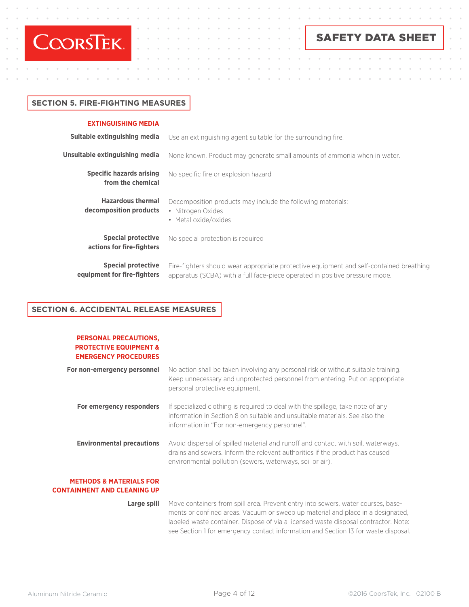

 $\alpha$  . The second second  $\alpha$ 

 $\sim$  $\alpha$  $\ddot{\phantom{a}}$  SAFETY DATA SHEET

## **SECTION 5. FIRE-FIGHTING MEASURES**

#### **EXTINGUISHING MEDIA**

| Suitable extinguishing media                             | Use an extinguishing agent suitable for the surrounding fire.                                                                                                          |
|----------------------------------------------------------|------------------------------------------------------------------------------------------------------------------------------------------------------------------------|
| Unsuitable extinguishing media                           | None known. Product may generate small amounts of ammonia when in water.                                                                                               |
| <b>Specific hazards arising</b><br>from the chemical     | No specific fire or explosion hazard                                                                                                                                   |
| <b>Hazardous thermal</b><br>decomposition products       | Decomposition products may include the following materials:<br>• Nitrogen Oxides<br>• Metal oxide/oxides                                                               |
| <b>Special protective</b><br>actions for fire-fighters   | No special protection is required                                                                                                                                      |
| <b>Special protective</b><br>equipment for fire-fighters | Fire-fighters should wear appropriate protective equipment and self-contained breathing<br>apparatus (SCBA) with a full face-piece operated in positive pressure mode. |

 $\sim$ 

## **SECTION 6. ACCIDENTAL RELEASE MEASURES**

| <b>PERSONAL PRECAUTIONS,</b><br><b>PROTECTIVE EQUIPMENT &amp;</b><br><b>EMERGENCY PROCEDURES</b> |                                                                                                                                                                                                                               |
|--------------------------------------------------------------------------------------------------|-------------------------------------------------------------------------------------------------------------------------------------------------------------------------------------------------------------------------------|
| For non-emergency personnel                                                                      | No action shall be taken involving any personal risk or without suitable training.<br>Keep unnecessary and unprotected personnel from entering. Put on appropriate<br>personal protective equipment.                          |
| For emergency responders                                                                         | If specialized clothing is required to deal with the spillage, take note of any<br>information in Section 8 on suitable and unsuitable materials. See also the<br>information in "For non-emergency personnel".               |
| <b>Environmental precautions</b>                                                                 | Avoid dispersal of spilled material and runoff and contact with soil, waterways,<br>drains and sewers. Inform the relevant authorities if the product has caused<br>environmental pollution (sewers, waterways, soil or air). |

### **METHODS & MATERIALS FOR CONTAINMENT AND CLEANING UP**

**Large spill** Move containers from spill area. Prevent entry into sewers, water courses, basements or confined areas. Vacuum or sweep up material and place in a designated, labeled waste container. Dispose of via a licensed waste disposal contractor. Note: see Section 1 for emergency contact information and Section 13 for waste disposal.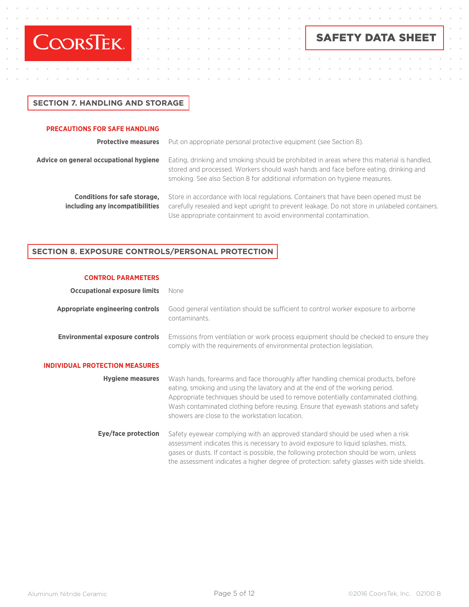

 $\alpha$  . The set of  $\alpha$ 

# SAFETY DATA SHEET

## **SECTION 7. HANDLING AND STORAGE**

#### **PRECAUTIONS FOR SAFE HANDLING**

**Protective measures** Put on appropriate personal protective equipment (see Section 8).

# **Advice on general occupational hygiene**

Eating, drinking and smoking should be prohibited in areas where this material is handled, stored and processed. Workers should wash hands and face before eating, drinking and smoking. See also Section 8 for additional information on hygiene measures.

 $\Delta$ 

**Conditions for safe storage, including any incompatibilities** Store in accordance with local regulations. Containers that have been opened must be carefully resealed and kept upright to prevent leakage. Do not store in unlabeled containers. Use appropriate containment to avoid environmental contamination.

### **SECTION 8. EXPOSURE CONTROLS/PERSONAL PROTECTION**

#### **CONTROL PARAMETERS**

| <b>Occupational exposure limits</b>    | None                                                                                                                                                                                                                                                                                                                                                                                            |
|----------------------------------------|-------------------------------------------------------------------------------------------------------------------------------------------------------------------------------------------------------------------------------------------------------------------------------------------------------------------------------------------------------------------------------------------------|
| Appropriate engineering controls       | Good general ventilation should be sufficient to control worker exposure to airborne<br>contaminants.                                                                                                                                                                                                                                                                                           |
| <b>Environmental exposure controls</b> | Emissions from ventilation or work process equipment should be checked to ensure they<br>comply with the requirements of environmental protection legislation.                                                                                                                                                                                                                                  |
| <b>INDIVIDUAL PROTECTION MEASURES</b>  |                                                                                                                                                                                                                                                                                                                                                                                                 |
| <b>Hygiene measures</b>                | Wash hands, forearms and face thoroughly after handling chemical products, before<br>eating, smoking and using the lavatory and at the end of the working period.<br>Appropriate techniques should be used to remove potentially contaminated clothing.<br>Wash contaminated clothing before reusing. Ensure that eyewash stations and safety<br>showers are close to the workstation location. |
| Eye/face protection                    | Safety eyewear complying with an approved standard should be used when a risk<br>assessment indicates this is necessary to avoid exposure to liquid splashes, mists,<br>gases or dusts. If contact is possible, the following protection should be worn, unless<br>the assessment indicates a higher degree of protection: safety glasses with side shields.                                    |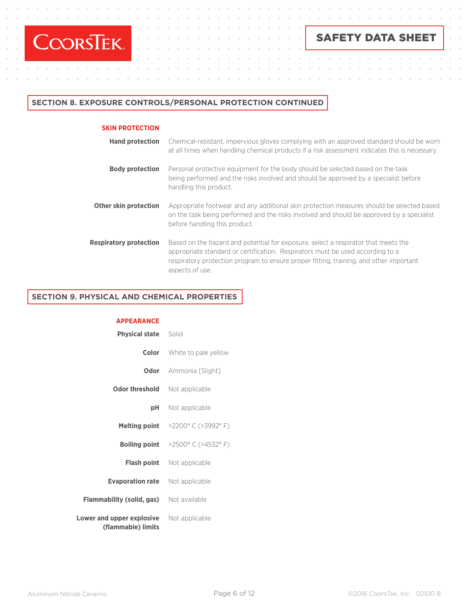

 $\alpha$ 

 $\ddot{\phantom{a}}$  $\ddot{\phantom{a}}$   $\alpha$  $\alpha$ 

 $\sim$  $\alpha$  .  $\alpha$  .

 $\sim$ 

 $\alpha$  $\rightarrow$ 

 $\ddot{\phantom{a}}$ 

# SAFETY DATA SHEET

 $\alpha$ 

 $\alpha$ 

 $\ddot{\phantom{a}}$ 

 $\alpha$ 

 $\alpha$ 

 $\bar{a}$ 

## **SECTION 8. EXPOSURE CONTROLS/PERSONAL PROTECTION CONTINUED**

#### **SKIN PROTECTION**

| <b>Hand protection</b>        | Chemical-resistant, impervious gloves complying with an approved standard should be worn<br>at all times when handling chemical products if a risk assessment indicates this is necessary.                                                                                        |
|-------------------------------|-----------------------------------------------------------------------------------------------------------------------------------------------------------------------------------------------------------------------------------------------------------------------------------|
| <b>Body protection</b>        | Personal protective equipment for the body should be selected based on the task<br>being performed and the risks involved and should be approved by a specialist before<br>handling this product.                                                                                 |
| Other skin protection         | Appropriate footwear and any additional skin protection measures should be selected based<br>on the task being performed and the risks involved and should be approved by a specialist<br>before handling this product.                                                           |
| <b>Respiratory protection</b> | Based on the hazard and potential for exposure, select a respirator that meets the<br>appropriate standard or certification. Respirators must be used according to a<br>respiratory protection program to ensure proper fitting, training, and other important<br>aspects of use. |

 $\alpha$ 

 $\alpha$ 

 $\sim$  $\mathcal{L}$  $\alpha$ 

 $\sim$ 

 $\ddot{\phantom{a}}$ 

 $\alpha$  $\alpha$ 

 $\alpha$  $\alpha$ 

## **SECTION 9. PHYSICAL AND CHEMICAL PROPERTIES SECTION 9. PHYSICAL AND CHEMICAL PROPERTIES**

**APPEARANCE** 

| <b>Physical state</b> Solid                     |                                                             |
|-------------------------------------------------|-------------------------------------------------------------|
|                                                 | <b>Color</b> White to pale yellow                           |
|                                                 | <b>Odor</b> Ammonia [Slight]                                |
| Odor threshold                                  | Not applicable                                              |
|                                                 | <b>pH</b> Not applicable                                    |
|                                                 | Melting point >2200° C (>3992° F)                           |
|                                                 | <b>Boiling point</b> $>2500^{\circ}$ C ( $>4532^{\circ}$ F) |
|                                                 | <b>Flash point</b> Not applicable                           |
| <b>Evaporation rate</b> Not applicable          |                                                             |
| <b>Flammability (solid, gas)</b> Not available  |                                                             |
| Lower and upper explosive<br>(flammable) limits | Not applicable                                              |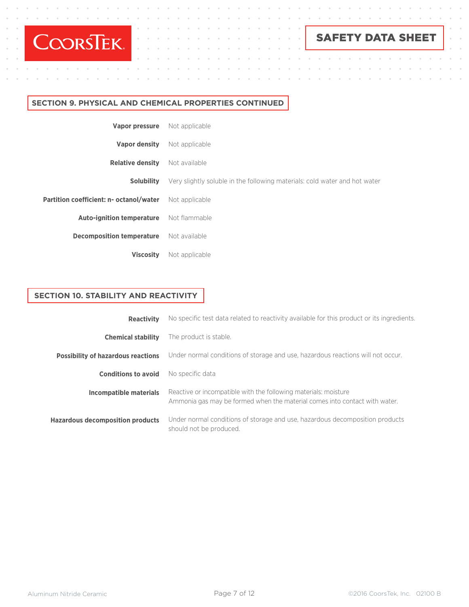

 $\alpha$  . The set of  $\alpha$ 

 $\ddot{\phantom{a}}$ 

 $\alpha$ 

 $\alpha$ 

 $\alpha$  $\rightarrow$ 

 $\ddot{\phantom{a}}$ 

# SAFETY DATA SHEET

 $\ddot{\phantom{a}}$  $\alpha$ 

 $\sim$ 

 $\bar{\rm o}$ 

 $\ddot{\phantom{a}}$ 

 $\alpha$ 

 $\alpha$ 

 $\alpha$ 

## **SECTION 9. PHYSICAL AND CHEMICAL PROPERTIES CONTINUED**

| <b>Vapor pressure</b> Not applicable                   |                                                                            |
|--------------------------------------------------------|----------------------------------------------------------------------------|
| <b>Vapor density</b>                                   | Not applicable                                                             |
| <b>Relative density</b>                                | Not available                                                              |
| <b>Solubility</b>                                      | Very slightly soluble in the following materials: cold water and hot water |
| Partition coefficient: n- octanol/water Not applicable |                                                                            |
| <b>Auto-ignition temperature</b> Not flammable         |                                                                            |
| <b>Decomposition temperature</b> Not available         |                                                                            |
| <b>Viscosity</b>                                       | Not applicable                                                             |

## **SECTION 10. STABILITY AND REACTIVITY**

| <b>Reactivity</b>                         | No specific test data related to reactivity available for this product or its ingredients.                                                    |  |
|-------------------------------------------|-----------------------------------------------------------------------------------------------------------------------------------------------|--|
| <b>Chemical stability</b>                 | The product is stable.                                                                                                                        |  |
| <b>Possibility of hazardous reactions</b> | Under normal conditions of storage and use, hazardous reactions will not occur.                                                               |  |
| <b>Conditions to avoid</b>                | No specific data                                                                                                                              |  |
| Incompatible materials                    | Reactive or incompatible with the following materials: moisture<br>Ammonia gas may be formed when the material comes into contact with water. |  |
| <b>Hazardous decomposition products</b>   | Under normal conditions of storage and use, hazardous decomposition products<br>should not be produced.                                       |  |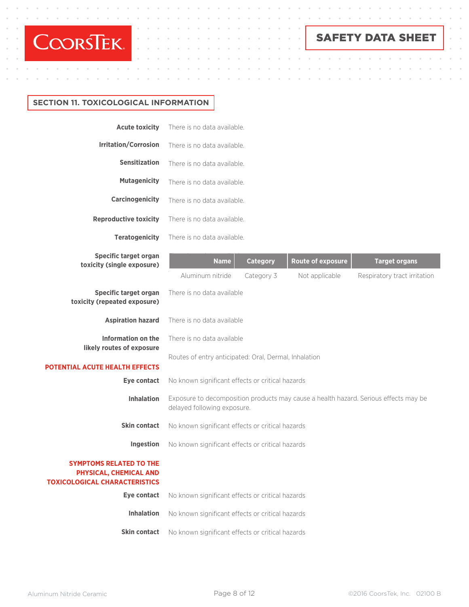

 $\alpha$ 

 $\alpha$  $\alpha$  $\sim$ 

 $\alpha$ 

 $\alpha$  $\alpha$ 

 $\ddot{\phantom{a}}$ 

SAFETY DATA SHEET

 $\bar{\alpha}$ 

 $\alpha$  $\alpha$  $\bar{a}$  $\alpha$  $\bar{a}$  $\alpha$  $\bar{z}$ 

 $\bar{0}$  $\bar{0}$  $\sim$  $\alpha$  $\bar{0}$  $\alpha$ 

 $\bar{\theta}$ 

 $\bar{\rm o}$ 

 $\ddot{\phantom{a}}$ 

 $\bar{a}$ 

 $\bar{\phi}$ 

 $\bar{\alpha}$ 

 $\bar{\sigma}$ 

## **SECTION 11. TOXICOLOGICAL INFORMATION**

 $\alpha$ 

| <b>Acute toxicity</b>                                                                            | There is no data available.                                                                                                                                            |  |  |  |
|--------------------------------------------------------------------------------------------------|------------------------------------------------------------------------------------------------------------------------------------------------------------------------|--|--|--|
| <b>Irritation/Corrosion</b>                                                                      | There is no data available.                                                                                                                                            |  |  |  |
| <b>Sensitization</b>                                                                             | There is no data available.                                                                                                                                            |  |  |  |
| <b>Mutagenicity</b>                                                                              | There is no data available.                                                                                                                                            |  |  |  |
| <b>Carcinogenicity</b>                                                                           | There is no data available.                                                                                                                                            |  |  |  |
| <b>Reproductive toxicity</b>                                                                     | There is no data available.                                                                                                                                            |  |  |  |
| <b>Teratogenicity</b>                                                                            | There is no data available.                                                                                                                                            |  |  |  |
| Specific target organ<br>toxicity (single exposure)                                              | <b>Route of exposure</b><br><b>Category</b><br><b>Name</b><br><b>Target organs</b><br>Aluminum nitride<br>Category 3<br>Not applicable<br>Respiratory tract irritation |  |  |  |
| <b>Specific target organ</b><br>toxicity (repeated exposure)                                     | There is no data available                                                                                                                                             |  |  |  |
| <b>Aspiration hazard</b>                                                                         | There is no data available                                                                                                                                             |  |  |  |
| <b>Information on the</b><br>likely routes of exposure                                           | There is no data available                                                                                                                                             |  |  |  |
| <b>POTENTIAL ACUTE HEALTH EFFECTS</b>                                                            | Routes of entry anticipated: Oral, Dermal, Inhalation                                                                                                                  |  |  |  |
| Eye contact                                                                                      | No known significant effects or critical hazards                                                                                                                       |  |  |  |
| <b>Inhalation</b>                                                                                | Exposure to decomposition products may cause a health hazard. Serious effects may be<br>delayed following exposure.                                                    |  |  |  |
| <b>Skin contact</b>                                                                              | No known significant effects or critical hazards                                                                                                                       |  |  |  |
| Ingestion                                                                                        | No known significant effects or critical hazards                                                                                                                       |  |  |  |
| <b>SYMPTOMS RELATED TO THE</b><br>PHYSICAL, CHEMICAL AND<br><b>TOXICOLOGICAL CHARACTERISTICS</b> |                                                                                                                                                                        |  |  |  |
| Eye contact                                                                                      | No known significant effects or critical hazards                                                                                                                       |  |  |  |
| <b>Inhalation</b>                                                                                | No known significant effects or critical hazards                                                                                                                       |  |  |  |
| <b>Skin contact</b>                                                                              | No known significant effects or critical hazards                                                                                                                       |  |  |  |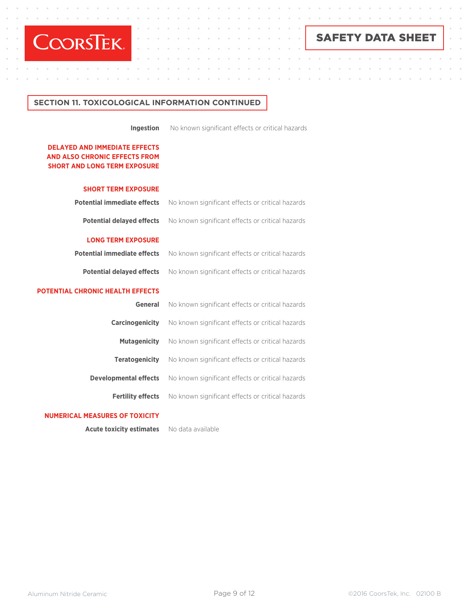

 $\mathcal{A}^{\mathcal{A}}$  , and  $\mathcal{A}^{\mathcal{A}}$  , and  $\mathcal{A}^{\mathcal{A}}$  , and  $\mathcal{A}^{\mathcal{A}}$ 

 $\alpha$  $\alpha$  $\alpha$  $\alpha$  $\bar{a}$ 

 $\alpha$ 

# SAFETY DATA SHEET

 $\Delta$ 

 $\lambda$ 

 $\lambda$  $\mathcal{L}$   $\ddot{\phantom{a}}$ 

 $\lambda$ 

 $\alpha$ 

## **SECTION 11. TOXICOLOGICAL INFORMATION CONTINUED**

**Ingestion**

No known significant effects or critical hazards

 $\alpha$ 

 $\lambda$ 

 $\sim$ 

 $\sim$  $\lambda$ 

### **DELAYED AND IMMEDIATE EFFECTS AND ALSO CHRONIC EFFECTS FROM SHORT AND LONG TERM EXPOSURE**

 $\sim$  $\sim$ 

| <b>SHORT TERM EXPOSURE</b>              |                                                  |
|-----------------------------------------|--------------------------------------------------|
| <b>Potential immediate effects</b>      | No known significant effects or critical hazards |
| <b>Potential delayed effects</b>        | No known significant effects or critical hazards |
| <b>LONG TERM EXPOSURE</b>               |                                                  |
| <b>Potential immediate effects</b>      | No known significant effects or critical hazards |
| <b>Potential delayed effects</b>        | No known significant effects or critical hazards |
| <b>POTENTIAL CHRONIC HEALTH EFFECTS</b> |                                                  |
| <b>General</b>                          | No known significant effects or critical hazards |
| <b>Carcinogenicity</b>                  | No known significant effects or critical hazards |
| <b>Mutagenicity</b>                     | No known significant effects or critical hazards |
| <b>Teratogenicity</b>                   | No known significant effects or critical hazards |
| <b>Developmental effects</b>            | No known significant effects or critical hazards |
| <b>Fertility effects</b>                | No known significant effects or critical hazards |
|                                         |                                                  |

#### **NUMERICAL MEASURES OF TOXICITY**

 **Acute toxicity estimates**

No data available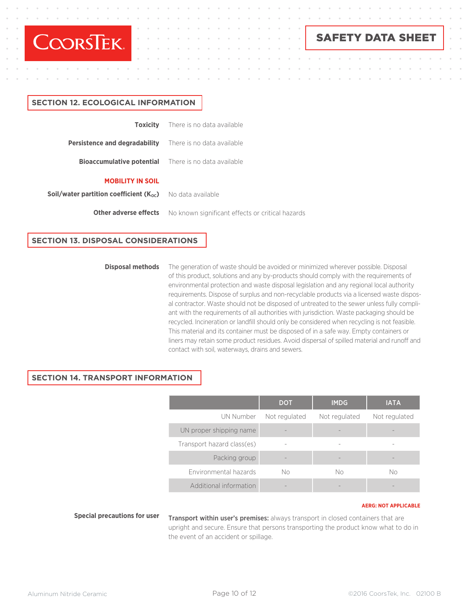

 $\alpha$  ,  $\alpha$  ,  $\alpha$  ,  $\alpha$  ,  $\alpha$ 

SAFETY DATA SHEET

# **Toxicity Persistence and degradability Bioaccumulative potential MOBILITY IN SOIL** There is no data available There is no data available There is no data available **SECTION 12. ECOLOGICAL INFORMATION**

**Soil/water partition coefficient (K<sub>oc</sub>)** No data available

**Other adverse effects**

No known significant effects or critical hazards

## **SECTION 13. DISPOSAL CONSIDERATIONS**

#### **Disposal methods**

The generation of waste should be avoided or minimized wherever possible. Disposal of this product, solutions and any by-products should comply with the requirements of environmental protection and waste disposal legislation and any regional local authority requirements. Dispose of surplus and non-recyclable products via a licensed waste disposal contractor. Waste should not be disposed of untreated to the sewer unless fully compliant with the requirements of all authorities with jurisdiction. Waste packaging should be recycled. Incineration or landfill should only be considered when recycling is not feasible. This material and its container must be disposed of in a safe way. Empty containers or liners may retain some product residues. Avoid dispersal of spilled material and runoff and contact with soil, waterways, drains and sewers.

## **SECTION 14. TRANSPORT INFORMATION**

|                            | <b>DOT</b>    | <b>IMDG</b>   | <b>IATA</b>   |
|----------------------------|---------------|---------------|---------------|
| UN Number                  | Not regulated | Not regulated | Not regulated |
| UN proper shipping name    |               |               |               |
| Transport hazard class(es) |               |               |               |
| Packing group              |               |               |               |
| Environmental hazards      | No            | No            | No            |
| Additional information     |               |               |               |

#### **AERG: NOT APPLICABLE**

**Special precautions for user**

Transport within user's premises: always transport in closed containers that are upright and secure. Ensure that persons transporting the product know what to do in the event of an accident or spillage.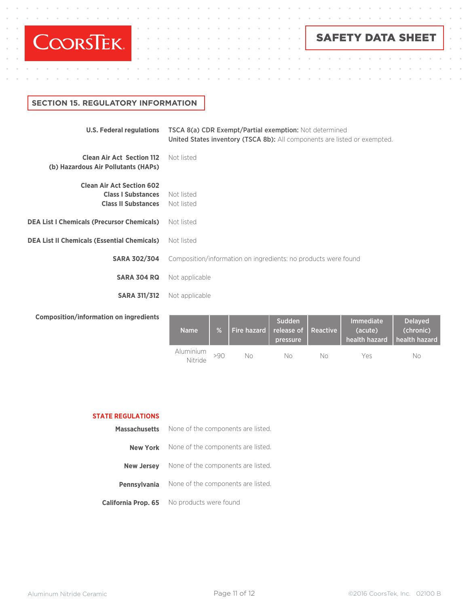

 $\alpha$  , and  $\alpha$  , and  $\alpha$  , and  $\alpha$ 

 $\bar{\alpha}$  $\alpha$  $\alpha$  $\alpha$ 

 $\alpha$ 

# SAFETY DATA SHEET

 $\alpha$ 

 $\bar{z}$ 

 $\ddot{\phantom{a}}$ 

 $\alpha$ 

 $\alpha$ 

 $\alpha$ 

# **SECTION 15. REGULATORY INFORMATION**

| <b>U.S. Federal regulations</b>                                                             | <b>TSCA 8(a) CDR Exempt/Partial exemption:</b> Not determined<br>United States inventory (TSCA 8b): All components are listed or exempted. |
|---------------------------------------------------------------------------------------------|--------------------------------------------------------------------------------------------------------------------------------------------|
| <b>Clean Air Act Section 112</b><br>(b) Hazardous Air Pollutants (HAPs)                     | Not listed                                                                                                                                 |
| <b>Clean Air Act Section 602</b><br><b>Class I Substances</b><br><b>Class II Substances</b> | Not listed<br>Not listed                                                                                                                   |
| <b>DEA List I Chemicals (Precursor Chemicals)</b>                                           | Not listed                                                                                                                                 |
| <b>DEA List II Chemicals (Essential Chemicals)</b>                                          | Not listed                                                                                                                                 |
| <b>SARA 302/304</b>                                                                         | Composition/information on ingredients: no products were found                                                                             |
| <b>SARA 304 RQ</b>                                                                          | Not applicable                                                                                                                             |
| <b>SARA 311/312</b>                                                                         | Not applicable                                                                                                                             |
| Campaalilan linfarmailan an ingrealanta                                                     |                                                                                                                                            |

**Composition/information on ingredients**

| <b>Name</b>          |     | Fire hazard   release of   Reactive | Sudden<br>pressure |    | <b>Immediate</b><br>(acute)<br>l health hazard 『 | <b>Delaved</b><br>(chronic)<br>l health hazard |
|----------------------|-----|-------------------------------------|--------------------|----|--------------------------------------------------|------------------------------------------------|
| Aluminium<br>Nitride | >90 | Nη                                  | Nο                 | Nο | Yes                                              | Nο                                             |

 $\alpha$  $\alpha = -\alpha$ 

 $\sim$ 

 $\alpha$ 

#### **STATE REGULATIONS**

| <b>Massachusetts</b>       | None of the components are listed. |
|----------------------------|------------------------------------|
| <b>New York</b>            | None of the components are listed. |
| <b>New Jersey</b>          | None of the components are listed. |
| <b>Pennsylvania</b>        | None of the components are listed. |
| <b>California Prop. 65</b> | No products were found             |